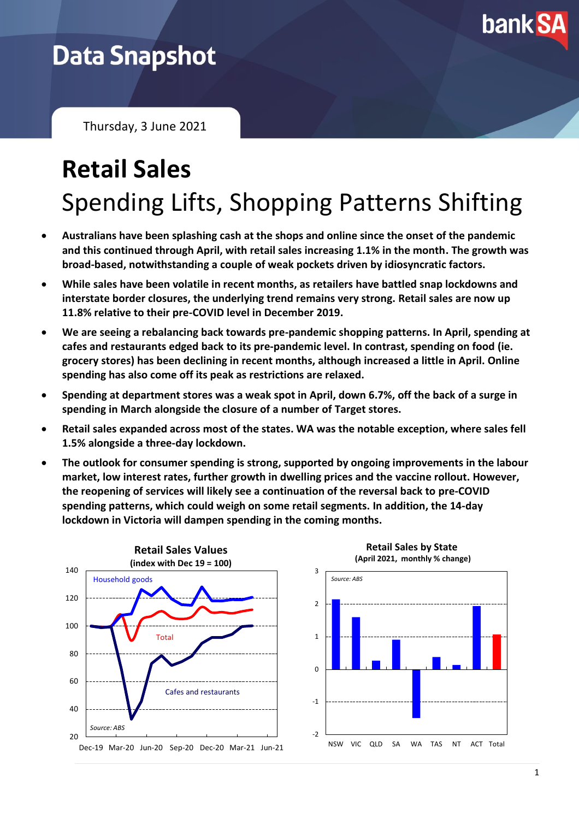

## **Data Snapshot**

Thursday, 3 June 2021

## **Retail Sales** Spending Lifts, Shopping Patterns Shifting

- **Australians have been splashing cash at the shops and online since the onset of the pandemic and this continued through April, with retail sales increasing 1.1% in the month. The growth was broad-based, notwithstanding a couple of weak pockets driven by idiosyncratic factors.**
- **While sales have been volatile in recent months, as retailers have battled snap lockdowns and interstate border closures, the underlying trend remains very strong. Retail sales are now up 11.8% relative to their pre-COVID level in December 2019.**
- **We are seeing a rebalancing back towards pre-pandemic shopping patterns. In April, spending at cafes and restaurants edged back to its pre-pandemic level. In contrast, spending on food (ie. grocery stores) has been declining in recent months, although increased a little in April. Online spending has also come off its peak as restrictions are relaxed.**
- **Spending at department stores was a weak spot in April, down 6.7%, off the back of a surge in spending in March alongside the closure of a number of Target stores.**
- **Retail sales expanded across most of the states. WA was the notable exception, where sales fell 1.5% alongside a three-day lockdown.**
- **The outlook for consumer spending is strong, supported by ongoing improvements in the labour market, low interest rates, further growth in dwelling prices and the vaccine rollout. However, the reopening of services will likely see a continuation of the reversal back to pre-COVID spending patterns, which could weigh on some retail segments. In addition, the 14-day lockdown in Victoria will dampen spending in the coming months.**



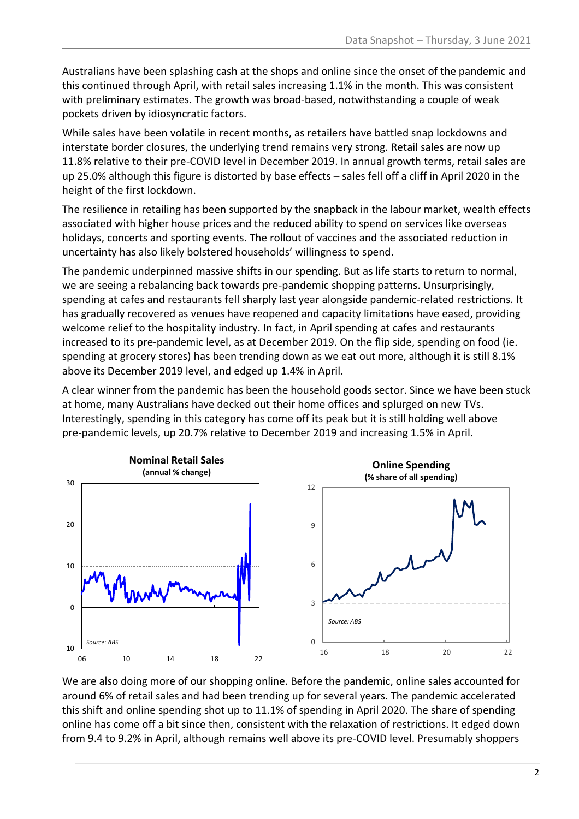Australians have been splashing cash at the shops and online since the onset of the pandemic and this continued through April, with retail sales increasing 1.1% in the month. This was consistent with preliminary estimates. The growth was broad-based, notwithstanding a couple of weak pockets driven by idiosyncratic factors.

While sales have been volatile in recent months, as retailers have battled snap lockdowns and interstate border closures, the underlying trend remains very strong. Retail sales are now up 11.8% relative to their pre-COVID level in December 2019. In annual growth terms, retail sales are up 25.0% although this figure is distorted by base effects – sales fell off a cliff in April 2020 in the height of the first lockdown.

The resilience in retailing has been supported by the snapback in the labour market, wealth effects associated with higher house prices and the reduced ability to spend on services like overseas holidays, concerts and sporting events. The rollout of vaccines and the associated reduction in uncertainty has also likely bolstered households' willingness to spend.

The pandemic underpinned massive shifts in our spending. But as life starts to return to normal, we are seeing a rebalancing back towards pre-pandemic shopping patterns. Unsurprisingly, spending at cafes and restaurants fell sharply last year alongside pandemic-related restrictions. It has gradually recovered as venues have reopened and capacity limitations have eased, providing welcome relief to the hospitality industry. In fact, in April spending at cafes and restaurants increased to its pre-pandemic level, as at December 2019. On the flip side, spending on food (ie. spending at grocery stores) has been trending down as we eat out more, although it is still 8.1% above its December 2019 level, and edged up 1.4% in April.

A clear winner from the pandemic has been the household goods sector. Since we have been stuck at home, many Australians have decked out their home offices and splurged on new TVs. Interestingly, spending in this category has come off its peak but it is still holding well above pre-pandemic levels, up 20.7% relative to December 2019 and increasing 1.5% in April.



We are also doing more of our shopping online. Before the pandemic, online sales accounted for around 6% of retail sales and had been trending up for several years. The pandemic accelerated this shift and online spending shot up to 11.1% of spending in April 2020. The share of spending online has come off a bit since then, consistent with the relaxation of restrictions. It edged down from 9.4 to 9.2% in April, although remains well above its pre-COVID level. Presumably shoppers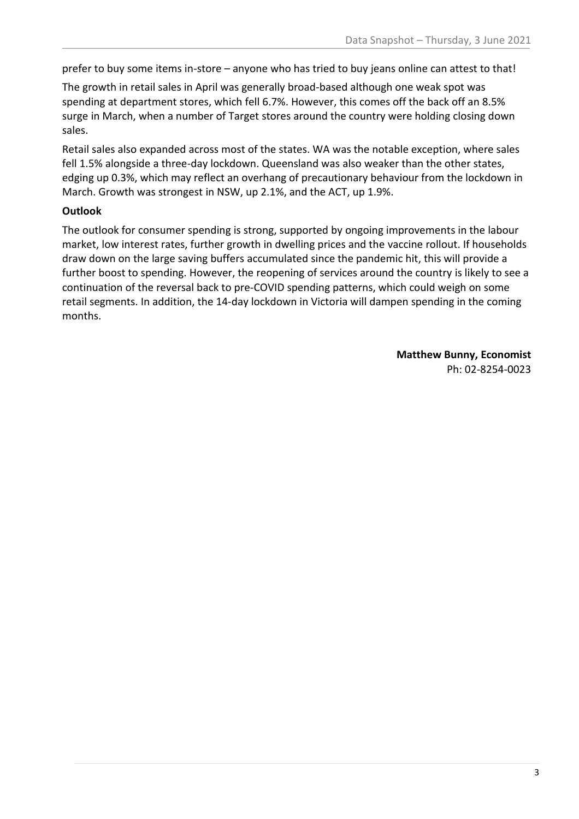prefer to buy some items in-store – anyone who has tried to buy jeans online can attest to that!

The growth in retail sales in April was generally broad-based although one weak spot was spending at department stores, which fell 6.7%. However, this comes off the back off an 8.5% surge in March, when a number of Target stores around the country were holding closing down sales.

Retail sales also expanded across most of the states. WA was the notable exception, where sales fell 1.5% alongside a three-day lockdown. Queensland was also weaker than the other states, edging up 0.3%, which may reflect an overhang of precautionary behaviour from the lockdown in March. Growth was strongest in NSW, up 2.1%, and the ACT, up 1.9%.

## **Outlook**

The outlook for consumer spending is strong, supported by ongoing improvements in the labour market, low interest rates, further growth in dwelling prices and the vaccine rollout. If households draw down on the large saving buffers accumulated since the pandemic hit, this will provide a further boost to spending. However, the reopening of services around the country is likely to see a continuation of the reversal back to pre-COVID spending patterns, which could weigh on some retail segments. In addition, the 14-day lockdown in Victoria will dampen spending in the coming months.

> **Matthew Bunny, Economist** Ph: 02-8254-0023